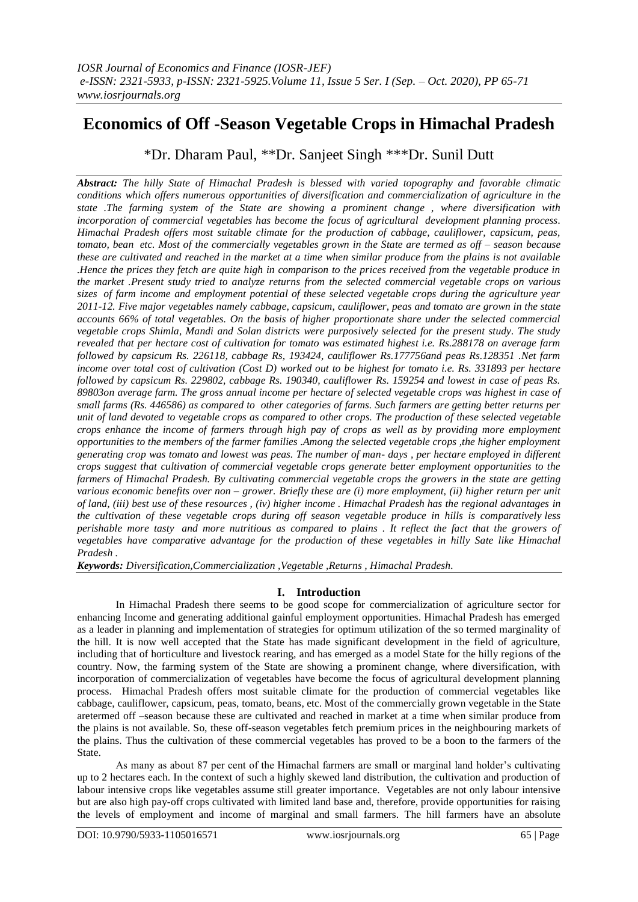# **Economics of Off -Season Vegetable Crops in Himachal Pradesh**

\*Dr. Dharam Paul, \*\*Dr. Sanjeet Singh \*\*\*Dr. Sunil Dutt

*Abstract: The hilly State of Himachal Pradesh is blessed with varied topography and favorable climatic conditions which offers numerous opportunities of diversification and commercialization of agriculture in the state .The farming system of the State are showing a prominent change , where diversification with incorporation of commercial vegetables has become the focus of agricultural development planning process. Himachal Pradesh offers most suitable climate for the production of cabbage, cauliflower, capsicum, peas, tomato, bean etc. Most of the commercially vegetables grown in the State are termed as off – season because these are cultivated and reached in the market at a time when similar produce from the plains is not available .Hence the prices they fetch are quite high in comparison to the prices received from the vegetable produce in the market .Present study tried to analyze returns from the selected commercial vegetable crops on various sizes of farm income and employment potential of these selected vegetable crops during the agriculture year 2011-12. Five major vegetables namely cabbage, capsicum, cauliflower, peas and tomato are grown in the state accounts 66% of total vegetables. On the basis of higher proportionate share under the selected commercial vegetable crops Shimla, Mandi and Solan districts were purposively selected for the present study. The study revealed that per hectare cost of cultivation for tomato was estimated highest i.e. Rs.288178 on average farm followed by capsicum Rs. 226118, cabbage Rs, 193424, cauliflower Rs.177756and peas Rs.128351 .Net farm income over total cost of cultivation (Cost D) worked out to be highest for tomato i.e. Rs. 331893 per hectare followed by capsicum Rs. 229802, cabbage Rs. 190340, cauliflower Rs. 159254 and lowest in case of peas Rs. 89803on average farm. The gross annual income per hectare of selected vegetable crops was highest in case of small farms (Rs. 446586) as compared to other categories of farms. Such farmers are getting better returns per unit of land devoted to vegetable crops as compared to other crops. The production of these selected vegetable crops enhance the income of farmers through high pay of crops as well as by providing more employment opportunities to the members of the farmer families .Among the selected vegetable crops ,the higher employment generating crop was tomato and lowest was peas. The number of man- days , per hectare employed in different crops suggest that cultivation of commercial vegetable crops generate better employment opportunities to the farmers of Himachal Pradesh. By cultivating commercial vegetable crops the growers in the state are getting various economic benefits over non – grower. Briefly these are (i) more employment, (ii) higher return per unit of land, (iii) best use of these resources , (iv) higher income . Himachal Pradesh has the regional advantages in the cultivation of these vegetable crops during off season vegetable produce in hills is comparatively less perishable more tasty and more nutritious as compared to plains . It reflect the fact that the growers of vegetables have comparative advantage for the production of these vegetables in hilly Sate like Himachal Pradesh .*

*Keywords: Diversification,Commercialization ,Vegetable ,Returns , Himachal Pradesh.*

# **I. Introduction**

In Himachal Pradesh there seems to be good scope for commercialization of agriculture sector for enhancing Income and generating additional gainful employment opportunities. Himachal Pradesh has emerged as a leader in planning and implementation of strategies for optimum utilization of the so termed marginality of the hill. It is now well accepted that the State has made significant development in the field of agriculture, including that of horticulture and livestock rearing, and has emerged as a model State for the hilly regions of the country. Now, the farming system of the State are showing a prominent change, where diversification, with incorporation of commercialization of vegetables have become the focus of agricultural development planning process. Himachal Pradesh offers most suitable climate for the production of commercial vegetables like cabbage, cauliflower, capsicum, peas, tomato, beans, etc. Most of the commercially grown vegetable in the State aretermed off –season because these are cultivated and reached in market at a time when similar produce from the plains is not available. So, these off-season vegetables fetch premium prices in the neighbouring markets of the plains. Thus the cultivation of these commercial vegetables has proved to be a boon to the farmers of the State.

As many as about 87 per cent of the Himachal farmers are small or marginal land holder's cultivating up to 2 hectares each. In the context of such a highly skewed land distribution, the cultivation and production of labour intensive crops like vegetables assume still greater importance. Vegetables are not only labour intensive but are also high pay-off crops cultivated with limited land base and, therefore, provide opportunities for raising the levels of employment and income of marginal and small farmers. The hill farmers have an absolute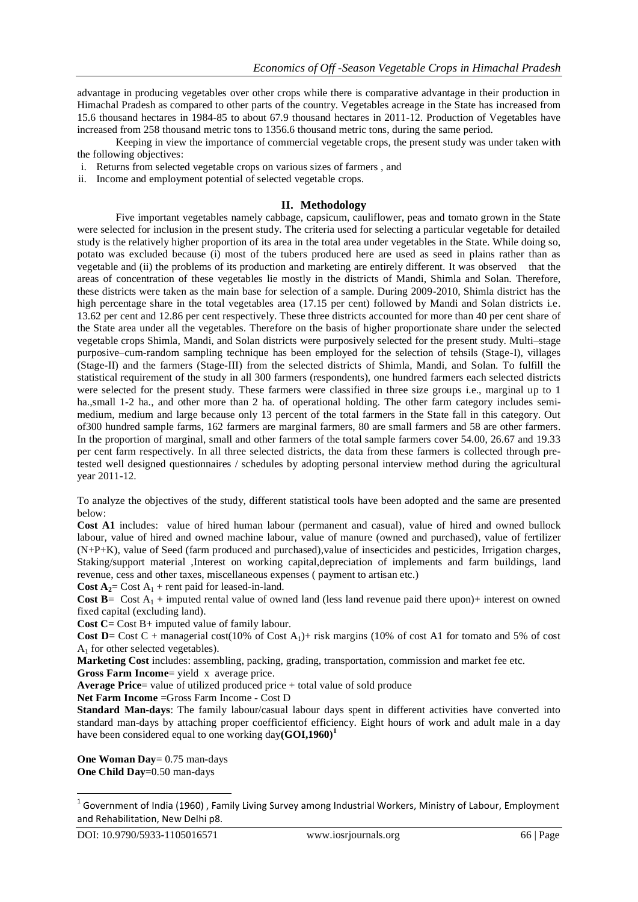advantage in producing vegetables over other crops while there is comparative advantage in their production in Himachal Pradesh as compared to other parts of the country. Vegetables acreage in the State has increased from 15.6 thousand hectares in 1984-85 to about 67.9 thousand hectares in 2011-12. Production of Vegetables have increased from 258 thousand metric tons to 1356.6 thousand metric tons, during the same period.

Keeping in view the importance of commercial vegetable crops, the present study was under taken with the following objectives:

- i. Returns from selected vegetable crops on various sizes of farmers , and
- ii. Income and employment potential of selected vegetable crops.

## **II. Methodology**

Five important vegetables namely cabbage, capsicum, cauliflower, peas and tomato grown in the State were selected for inclusion in the present study. The criteria used for selecting a particular vegetable for detailed study is the relatively higher proportion of its area in the total area under vegetables in the State. While doing so, potato was excluded because (i) most of the tubers produced here are used as seed in plains rather than as vegetable and (ii) the problems of its production and marketing are entirely different. It was observed that the areas of concentration of these vegetables lie mostly in the districts of Mandi, Shimla and Solan. Therefore, these districts were taken as the main base for selection of a sample. During 2009-2010, Shimla district has the high percentage share in the total vegetables area (17.15 per cent) followed by Mandi and Solan districts i.e. 13.62 per cent and 12.86 per cent respectively. These three districts accounted for more than 40 per cent share of the State area under all the vegetables. Therefore on the basis of higher proportionate share under the selected vegetable crops Shimla, Mandi, and Solan districts were purposively selected for the present study. Multi–stage purposive–cum-random sampling technique has been employed for the selection of tehsils (Stage-I), villages (Stage-II) and the farmers (Stage-III) from the selected districts of Shimla, Mandi, and Solan. To fulfill the statistical requirement of the study in all 300 farmers (respondents), one hundred farmers each selected districts were selected for the present study. These farmers were classified in three size groups i.e., marginal up to 1 ha.,small 1-2 ha., and other more than 2 ha. of operational holding. The other farm category includes semimedium, medium and large because only 13 percent of the total farmers in the State fall in this category. Out of300 hundred sample farms, 162 farmers are marginal farmers, 80 are small farmers and 58 are other farmers. In the proportion of marginal, small and other farmers of the total sample farmers cover 54.00, 26.67 and 19.33 per cent farm respectively. In all three selected districts, the data from these farmers is collected through pretested well designed questionnaires / schedules by adopting personal interview method during the agricultural year 2011-12.

To analyze the objectives of the study, different statistical tools have been adopted and the same are presented below:

**Cost A1** includes: value of hired human labour (permanent and casual), value of hired and owned bullock labour, value of hired and owned machine labour, value of manure (owned and purchased), value of fertilizer (N+P+K), value of Seed (farm produced and purchased),value of insecticides and pesticides, Irrigation charges, Staking/support material ,Interest on working capital,depreciation of implements and farm buildings, land revenue, cess and other taxes, miscellaneous expenses ( payment to artisan etc.)

**Cost A**<sub>2</sub>= Cost A<sub>1</sub> + rent paid for leased-in-land.

**Cost B**= Cost  $A_1$  + imputed rental value of owned land (less land revenue paid there upon)+ interest on owned fixed capital (excluding land).

**Cost C**= Cost B+ imputed value of family labour.

**Cost D**= Cost C + managerial cost(10% of Cost A<sub>1</sub>)+ risk margins (10% of cost A1 for tomato and 5% of cost  $A_1$  for other selected vegetables).

**Marketing Cost** includes: assembling, packing, grading, transportation, commission and market fee etc.

**Gross Farm Income**= yield x average price.

**Average Price**= value of utilized produced price + total value of sold produce

**Net Farm Income** =Gross Farm Income - Cost D

**Standard Man-days:** The family labour/casual labour days spent in different activities have converted into standard man-days by attaching proper coefficientof efficiency. Eight hours of work and adult male in a day have been considered equal to one working day**(GOI,1960)<sup>1</sup>**

**One Woman Day** = 0.75 man-days **One Child Day**=0.50 man-days

1

 $^1$  Government of India (1960) , Family Living Survey among Industrial Workers, Ministry of Labour, Employment and Rehabilitation, New Delhi p8.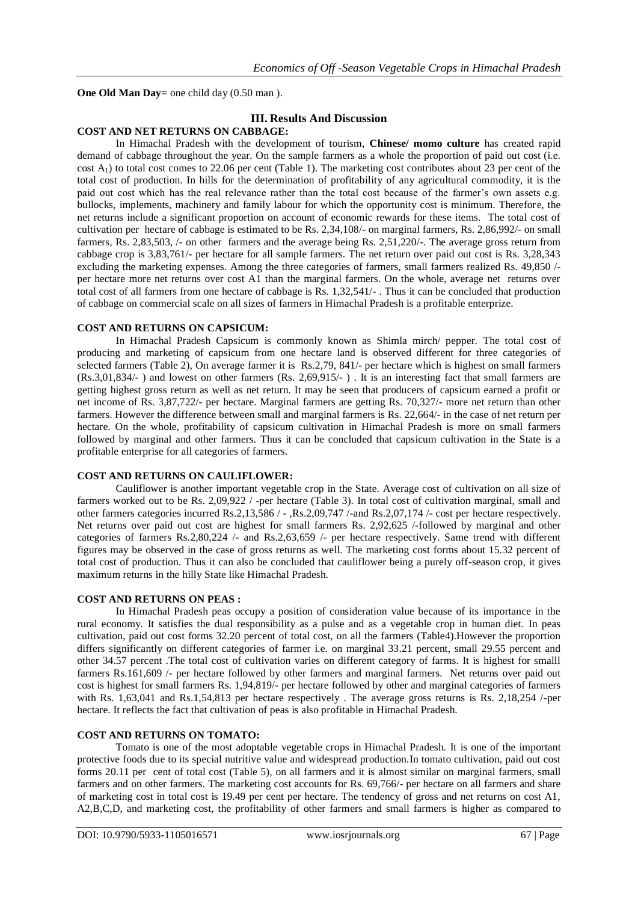**One Old Man Day**= one child day (0.50 man).

## **III. Results And Discussion**

## **COST AND NET RETURNS ON CABBAGE:**

In Himachal Pradesh with the development of tourism, **Chinese/ momo culture** has created rapid demand of cabbage throughout the year. On the sample farmers as a whole the proportion of paid out cost (i.e. cost  $A_1$ ) to total cost comes to 22.06 per cent (Table 1). The marketing cost contributes about 23 per cent of the total cost of production. In hills for the determination of profitability of any agricultural commodity, it is the paid out cost which has the real relevance rather than the total cost because of the farmer's own assets e.g. bullocks, implements, machinery and family labour for which the opportunity cost is minimum. Therefore, the net returns include a significant proportion on account of economic rewards for these items. The total cost of cultivation per hectare of cabbage is estimated to be Rs. 2,34,108/- on marginal farmers, Rs. 2,86,992/- on small farmers, Rs. 2,83,503, /- on other farmers and the average being Rs. 2,51,220/-. The average gross return from cabbage crop is 3,83,761/- per hectare for all sample farmers. The net return over paid out cost is Rs. 3,28,343 excluding the marketing expenses. Among the three categories of farmers, small farmers realized Rs. 49,850 / per hectare more net returns over cost A1 than the marginal farmers. On the whole, average net returns over total cost of all farmers from one hectare of cabbage is Rs. 1,32,541/- . Thus it can be concluded that production of cabbage on commercial scale on all sizes of farmers in Himachal Pradesh is a profitable enterprize.

## **COST AND RETURNS ON CAPSICUM:**

In Himachal Pradesh Capsicum is commonly known as Shimla mirch/ pepper. The total cost of producing and marketing of capsicum from one hectare land is observed different for three categories of selected farmers (Table 2), On average farmer it is Rs.2,79, 841/- per hectare which is highest on small farmers (Rs.3,01,834/- ) and lowest on other farmers (Rs. 2,69,915/- ) . It is an interesting fact that small farmers are getting highest gross return as well as net return. It may be seen that producers of capsicum earned a profit or net income of Rs. 3,87,722/- per hectare. Marginal farmers are getting Rs. 70,327/- more net return than other farmers. However the difference between small and marginal farmers is Rs. 22,664/- in the case of net return per hectare. On the whole, profitability of capsicum cultivation in Himachal Pradesh is more on small farmers followed by marginal and other farmers. Thus it can be concluded that capsicum cultivation in the State is a profitable enterprise for all categories of farmers.

## **COST AND RETURNS ON CAULIFLOWER:**

Cauliflower is another important vegetable crop in the State. Average cost of cultivation on all size of farmers worked out to be Rs. 2,09,922 / -per hectare (Table 3). In total cost of cultivation marginal, small and other farmers categories incurred Rs.2,13,586 / - ,Rs.2,09,747 /-and Rs.2,07,174 /- cost per hectare respectively. Net returns over paid out cost are highest for small farmers Rs. 2,92,625 /-followed by marginal and other categories of farmers Rs.2,80,224 /- and Rs.2,63,659 /- per hectare respectively. Same trend with different figures may be observed in the case of gross returns as well. The marketing cost forms about 15.32 percent of total cost of production. Thus it can also be concluded that cauliflower being a purely off-season crop, it gives maximum returns in the hilly State like Himachal Pradesh.

## **COST AND RETURNS ON PEAS :**

In Himachal Pradesh peas occupy a position of consideration value because of its importance in the rural economy. It satisfies the dual responsibility as a pulse and as a vegetable crop in human diet. In peas cultivation, paid out cost forms 32.20 percent of total cost, on all the farmers (Table4).However the proportion differs significantly on different categories of farmer i.e. on marginal 33.21 percent, small 29.55 percent and other 34.57 percent .The total cost of cultivation varies on different category of farms. It is highest for smalll farmers Rs.161,609 /- per hectare followed by other farmers and marginal farmers. Net returns over paid out cost is highest for small farmers Rs. 1,94,819/- per hectare followed by other and marginal categories of farmers with Rs. 1,63,041 and Rs.1,54,813 per hectare respectively. The average gross returns is Rs. 2,18,254 /-per hectare. It reflects the fact that cultivation of peas is also profitable in Himachal Pradesh.

## **COST AND RETURNS ON TOMATO:**

Tomato is one of the most adoptable vegetable crops in Himachal Pradesh. It is one of the important protective foods due to its special nutritive value and widespread production.In tomato cultivation, paid out cost forms 20.11 per cent of total cost (Table 5), on all farmers and it is almost similar on marginal farmers, small farmers and on other farmers. The marketing cost accounts for Rs. 69,766/- per hectare on all farmers and share of marketing cost in total cost is 19.49 per cent per hectare. The tendency of gross and net returns on cost A1, A2,B,C,D, and marketing cost, the profitability of other farmers and small farmers is higher as compared to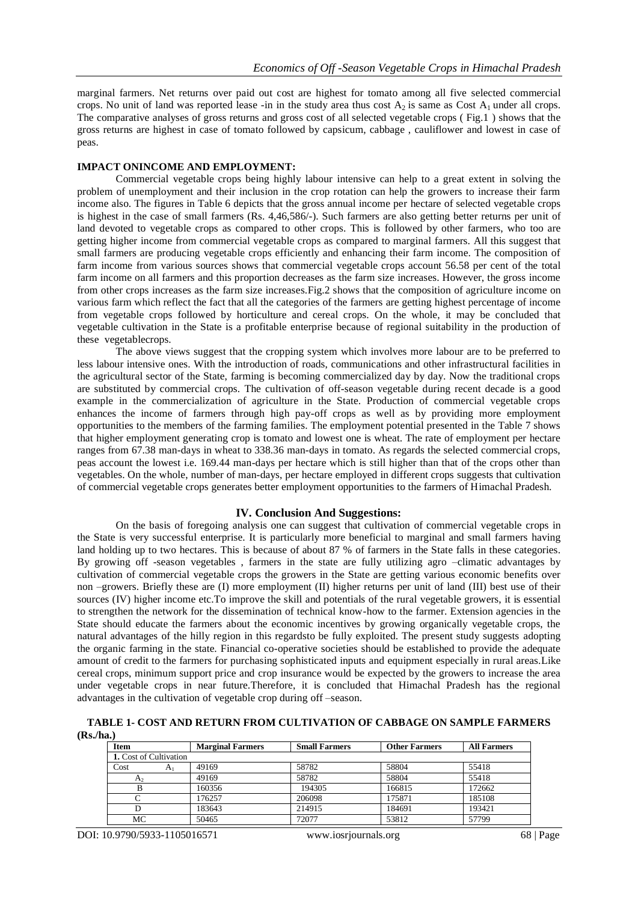marginal farmers. Net returns over paid out cost are highest for tomato among all five selected commercial crops. No unit of land was reported lease -in in the study area thus cost  $A_2$  is same as Cost  $A_1$  under all crops. The comparative analyses of gross returns and gross cost of all selected vegetable crops ( Fig.1 ) shows that the gross returns are highest in case of tomato followed by capsicum, cabbage , cauliflower and lowest in case of peas.

#### **IMPACT ONINCOME AND EMPLOYMENT:**

Commercial vegetable crops being highly labour intensive can help to a great extent in solving the problem of unemployment and their inclusion in the crop rotation can help the growers to increase their farm income also. The figures in Table 6 depicts that the gross annual income per hectare of selected vegetable crops is highest in the case of small farmers (Rs. 4,46,586/-). Such farmers are also getting better returns per unit of land devoted to vegetable crops as compared to other crops. This is followed by other farmers, who too are getting higher income from commercial vegetable crops as compared to marginal farmers. All this suggest that small farmers are producing vegetable crops efficiently and enhancing their farm income. The composition of farm income from various sources shows that commercial vegetable crops account 56.58 per cent of the total farm income on all farmers and this proportion decreases as the farm size increases. However, the gross income from other crops increases as the farm size increases.Fig.2 shows that the composition of agriculture income on various farm which reflect the fact that all the categories of the farmers are getting highest percentage of income from vegetable crops followed by horticulture and cereal crops. On the whole, it may be concluded that vegetable cultivation in the State is a profitable enterprise because of regional suitability in the production of these vegetablecrops.

The above views suggest that the cropping system which involves more labour are to be preferred to less labour intensive ones. With the introduction of roads, communications and other infrastructural facilities in the agricultural sector of the State, farming is becoming commercialized day by day. Now the traditional crops are substituted by commercial crops. The cultivation of off-season vegetable during recent decade is a good example in the commercialization of agriculture in the State. Production of commercial vegetable crops enhances the income of farmers through high pay-off crops as well as by providing more employment opportunities to the members of the farming families. The employment potential presented in the Table 7 shows that higher employment generating crop is tomato and lowest one is wheat. The rate of employment per hectare ranges from 67.38 man-days in wheat to 338.36 man-days in tomato. As regards the selected commercial crops, peas account the lowest i.e. 169.44 man-days per hectare which is still higher than that of the crops other than vegetables. On the whole, number of man-days, per hectare employed in different crops suggests that cultivation of commercial vegetable crops generates better employment opportunities to the farmers of Himachal Pradesh.

#### **IV. Conclusion And Suggestions:**

On the basis of foregoing analysis one can suggest that cultivation of commercial vegetable crops in the State is very successful enterprise. It is particularly more beneficial to marginal and small farmers having land holding up to two hectares. This is because of about 87 % of farmers in the State falls in these categories. By growing off -season vegetables , farmers in the state are fully utilizing agro –climatic advantages by cultivation of commercial vegetable crops the growers in the State are getting various economic benefits over non –growers. Briefly these are (I) more employment (II) higher returns per unit of land (III) best use of their sources (IV) higher income etc.To improve the skill and potentials of the rural vegetable growers, it is essential to strengthen the network for the dissemination of technical know-how to the farmer. Extension agencies in the State should educate the farmers about the economic incentives by growing organically vegetable crops, the natural advantages of the hilly region in this regardsto be fully exploited. The present study suggests adopting the organic farming in the state. Financial co-operative societies should be established to provide the adequate amount of credit to the farmers for purchasing sophisticated inputs and equipment especially in rural areas.Like cereal crops, minimum support price and crop insurance would be expected by the growers to increase the area under vegetable crops in near future.Therefore, it is concluded that Himachal Pradesh has the regional advantages in the cultivation of vegetable crop during off –season.

**TABLE 1- COST AND RETURN FROM CULTIVATION OF CABBAGE ON SAMPLE FARMERS (Rs./ha.)**

| Item                   |    | <b>Marginal Farmers</b> | <b>Small Farmers</b> | <b>Other Farmers</b> | <b>All Farmers</b> |
|------------------------|----|-------------------------|----------------------|----------------------|--------------------|
| 1. Cost of Cultivation |    |                         |                      |                      |                    |
| Cost                   | Aι | 49169                   | 58782                | 58804                | 55418              |
| A <sub>2</sub>         |    | 49169                   | 58782                | 58804                | 55418              |
| в                      |    | 160356                  | 194305               | 166815               | 172662             |
|                        |    | 176257                  | 206098               | 175871               | 185108             |
|                        |    | 183643                  | 214915               | 184691               | 193421             |
| MC                     |    | 50465                   | 72077                | 53812                | 57799              |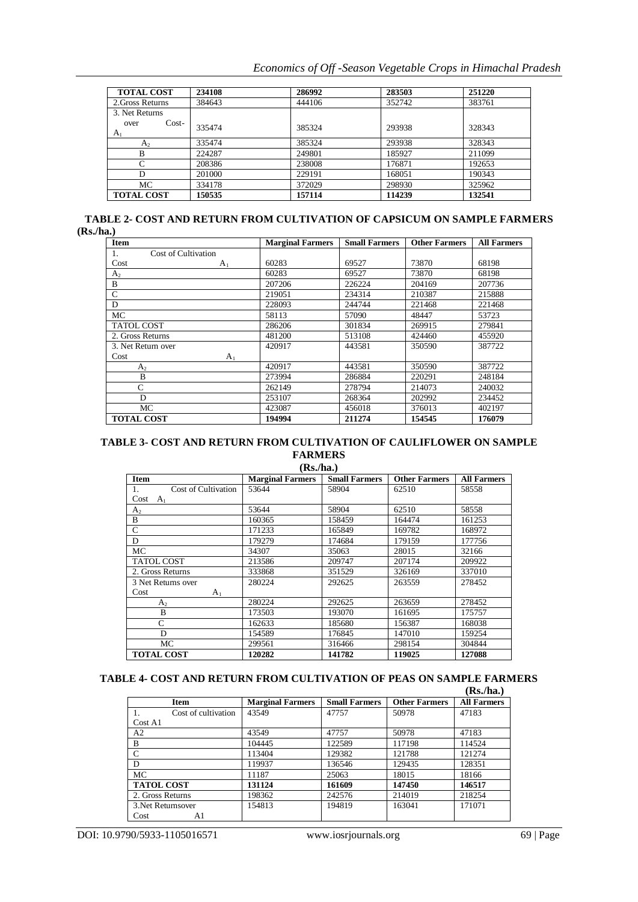*Economics of Off -Season Vegetable Crops in Himachal Pradesh*

| <b>TOTAL COST</b>                 | 234108 | 286992 | 283503 | 251220 |
|-----------------------------------|--------|--------|--------|--------|
| 2. Gross Returns                  | 384643 | 444106 | 352742 | 383761 |
| 3. Net Returns                    |        |        |        |        |
| $Cost-$<br>over<br>A <sub>1</sub> | 335474 | 385324 | 293938 | 328343 |
| A <sub>2</sub>                    | 335474 | 385324 | 293938 | 328343 |
| B                                 | 224287 | 249801 | 185927 | 211099 |
| C                                 | 208386 | 238008 | 176871 | 192653 |
| D                                 | 201000 | 229191 | 168051 | 190343 |
| МC                                | 334178 | 372029 | 298930 | 325962 |
| <b>TOTAL COST</b>                 | 150535 | 157114 | 114239 | 132541 |

| <b>TABLE 2- COST AND RETURN FROM CULTIVATION OF CAPSICUM ON SAMPLE FARMERS</b> |  |
|--------------------------------------------------------------------------------|--|
| (Rs/ha.)                                                                       |  |

| Item                      | <b>Marginal Farmers</b> | <b>Small Farmers</b> | <b>Other Farmers</b> | <b>All Farmers</b> |
|---------------------------|-------------------------|----------------------|----------------------|--------------------|
| Cost of Cultivation<br>1. |                         |                      |                      |                    |
| Cost<br>A <sub>1</sub>    | 60283                   | 69527                | 73870                | 68198              |
| A <sub>2</sub>            | 60283                   | 69527                | 73870                | 68198              |
| B                         | 207206                  | 226224               | 204169               | 207736             |
| C                         | 219051                  | 234314               | 210387               | 215888             |
| D                         | 228093                  | 244744               | 221468               | 221468             |
| MC                        | 58113                   | 57090                | 48447                | 53723              |
| <b>TATOL COST</b>         | 286206                  | 301834               | 269915               | 279841             |
| 2. Gross Returns          | 481200                  | 513108               | 424460               | 455920             |
| 3. Net Return over        | 420917                  | 443581               | 350590               | 387722             |
| Cost<br>A <sub>1</sub>    |                         |                      |                      |                    |
| A <sub>2</sub>            | 420917                  | 443581               | 350590               | 387722             |
| B                         | 273994                  | 286884               | 220291               | 248184             |
| C                         | 262149                  | 278794               | 214073               | 240032             |
| D                         | 253107                  | 268364               | 202992               | 234452             |
| MC                        | 423087                  | 456018               | 376013               | 402197             |
| <b>TOTAL COST</b>         | 194994                  | 211274               | 154545               | 176079             |

#### **TABLE 3- COST AND RETURN FROM CULTIVATION OF CAULIFLOWER ON SAMPLE FARMERS (Rs./ha.)**

|                           | (IS./IIa. <i>)</i>      |                      |                      |                    |
|---------------------------|-------------------------|----------------------|----------------------|--------------------|
| <b>Item</b>               | <b>Marginal Farmers</b> | <b>Small Farmers</b> | <b>Other Farmers</b> | <b>All Farmers</b> |
| Cost of Cultivation<br>1. | 53644                   | 58904                | 62510                | 58558              |
| Cost<br>$A_1$             |                         |                      |                      |                    |
| A <sub>2</sub>            | 53644                   | 58904                | 62510                | 58558              |
| B                         | 160365                  | 158459               | 164474               | 161253             |
| $\mathsf{C}$              | 171233                  | 165849               | 169782               | 168972             |
| D                         | 179279                  | 174684               | 179159               | 177756             |
| MC                        | 34307                   | 35063                | 28015                | 32166              |
| <b>TATOL COST</b>         | 213586                  | 209747               | 207174               | 209922             |
| 2. Gross Returns          | 333868                  | 351529               | 326169               | 337010             |
| 3 Net Returns over        | 280224                  | 292625               | 263559               | 278452             |
| Cost<br>$A_1$             |                         |                      |                      |                    |
| $A_{2}$                   | 280224                  | 292625               | 263659               | 278452             |
| B                         | 173503                  | 193070               | 161695               | 175757             |
| C                         | 162633                  | 185680               | 156387               | 168038             |
| D                         | 154589                  | 176845               | 147010               | 159254             |
| MC                        | 299561                  | 316466               | 298154               | 304844             |
| <b>TOTAL COST</b>         | 120282                  | 141782               | 119025               | 127088             |

## **TABLE 4- COST AND RETURN FROM CULTIVATION OF PEAS ON SAMPLE FARMERS**

| . .<br><br>f 1 |
|----------------|
|                |

|                     |                         |                      |                      | (Rs/ha.)           |
|---------------------|-------------------------|----------------------|----------------------|--------------------|
| <b>Item</b>         | <b>Marginal Farmers</b> | <b>Small Farmers</b> | <b>Other Farmers</b> | <b>All Farmers</b> |
| Cost of cultivation | 43549                   | 47757                | 50978                | 47183              |
| Cost A1             |                         |                      |                      |                    |
| A2                  | 43549                   | 47757                | 50978                | 47183              |
| B                   | 104445                  | 122589               | 117198               | 114524             |
| Ċ                   | 113404                  | 129382               | 121788               | 121274             |
| D                   | 119937                  | 136546               | 129435               | 128351             |
| <b>MC</b>           | 11187                   | 25063                | 18015                | 18166              |
| <b>TATOL COST</b>   | 131124                  | 161609               | 147450               | 146517             |
| 2. Gross Returns    | 198362                  | 242576               | 214019               | 218254             |
| 3. Net Returnsover  | 154813                  | 194819               | 163041               | 171071             |
| Cost<br>A1          |                         |                      |                      |                    |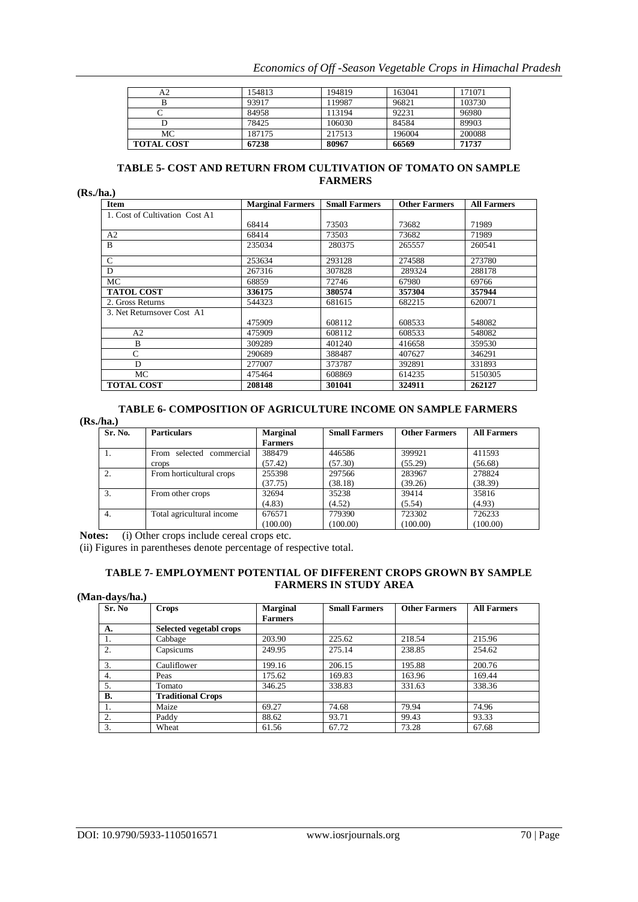| Economics of Off -Season Vegetable Crops in Himachal Pradesh |  |  |  |  |  |  |
|--------------------------------------------------------------|--|--|--|--|--|--|
|--------------------------------------------------------------|--|--|--|--|--|--|

| А2                | 154813 | 194819 | 163041 | 171071 |
|-------------------|--------|--------|--------|--------|
|                   | 93917  | 119987 | 96821  | 103730 |
|                   | 84958  | 113194 | 92231  | 96980  |
|                   | 78425  | 106030 | 84584  | 89903  |
| МC                | 187175 | 217513 | 196004 | 200088 |
| <b>TOTAL COST</b> | 67238  | 80967  | 66569  | 71737  |

## **TABLE 5- COST AND RETURN FROM CULTIVATION OF TOMATO ON SAMPLE FARMERS**

**(Rs./ha.)**

| Item                           | <b>Marginal Farmers</b> | <b>Small Farmers</b> | <b>Other Farmers</b> | <b>All Farmers</b> |
|--------------------------------|-------------------------|----------------------|----------------------|--------------------|
| 1. Cost of Cultivation Cost A1 |                         |                      |                      |                    |
|                                | 68414                   | 73503                | 73682                | 71989              |
| A <sub>2</sub>                 | 68414                   | 73503                | 73682                | 71989              |
| B                              | 235034                  | 280375               | 265557               | 260541             |
| $\mathcal{C}$                  | 253634                  | 293128               | 274588               | 273780             |
| D                              | 267316                  | 307828               | 289324               | 288178             |
| MC.                            | 68859                   | 72746                | 67980                | 69766              |
| <b>TATOL COST</b>              | 336175                  | 380574               | 357304               | 357944             |
| 2. Gross Returns               | 544323                  | 681615               | 682215               | 620071             |
| 3. Net Returnsover Cost A1     |                         |                      |                      |                    |
|                                | 475909                  | 608112               | 608533               | 548082             |
| A2                             | 475909                  | 608112               | 608533               | 548082             |
| B                              | 309289                  | 401240               | 416658               | 359530             |
| C                              | 290689                  | 388487               | 407627               | 346291             |
| D                              | 277007                  | 373787               | 392891               | 331893             |
| MC.                            | 475464                  | 608869               | 614235               | 5150305            |
| <b>TOTAL COST</b>              | 208148                  | 301041               | 324911               | 262127             |

## **TABLE 6- COMPOSITION OF AGRICULTURE INCOME ON SAMPLE FARMERS**

**(Rs./ha.)**

| Sr. No. | <b>Particulars</b>          | <b>Marginal</b> | <b>Small Farmers</b> | <b>Other Farmers</b> | <b>All Farmers</b> |
|---------|-----------------------------|-----------------|----------------------|----------------------|--------------------|
|         |                             | <b>Farmers</b>  |                      |                      |                    |
|         | commercial<br>From selected | 388479          | 446586               | 399921               | 411593             |
|         | crops                       | (57.42)         | (57.30)              | (55.29)              | (56.68)            |
|         | From horticultural crops    | 255398          | 297566               | 283967               | 278824             |
|         |                             | (37.75)         | (38.18)              | (39.26)              | (38.39)            |
| 3.      | From other crops            | 32694           | 35238                | 39414                | 35816              |
|         |                             | (4.83)          | (4.52)               | (5.54)               | (4.93)             |
| 4.      | Total agricultural income   | 676571          | 779390               | 723302               | 726233             |
|         |                             | (100.00)        | (100.00)             | (100.00)             | (100.00)           |

Notes: (i) Other crops include cereal crops etc.

(ii) Figures in parentheses denote percentage of respective total.

## **TABLE 7- EMPLOYMENT POTENTIAL OF DIFFERENT CROPS GROWN BY SAMPLE FARMERS IN STUDY AREA**

| (Man-days/ha.) |                          |                                   |                      |                      |                    |
|----------------|--------------------------|-----------------------------------|----------------------|----------------------|--------------------|
| Sr. No         | <b>Crops</b>             | <b>Marginal</b><br><b>Farmers</b> | <b>Small Farmers</b> | <b>Other Farmers</b> | <b>All Farmers</b> |
| A.             | Selected vegetabl crops  |                                   |                      |                      |                    |
| 1.             | Cabbage                  | 203.90                            | 225.62               | 218.54               | 215.96             |
| 2.             | Capsicums                | 249.95                            | 275.14               | 238.85               | 254.62             |
| 3.             | Cauliflower              | 199.16                            | 206.15               | 195.88               | 200.76             |
| 4.             | Peas                     | 175.62                            | 169.83               | 163.96               | 169.44             |
| 5.             | Tomato                   | 346.25                            | 338.83               | 331.63               | 338.36             |
| <b>B.</b>      | <b>Traditional Crops</b> |                                   |                      |                      |                    |
|                | Maize                    | 69.27                             | 74.68                | 79.94                | 74.96              |
| 2.             | Paddy                    | 88.62                             | 93.71                | 99.43                | 93.33              |
| 3.             | Wheat                    | 61.56                             | 67.72                | 73.28                | 67.68              |